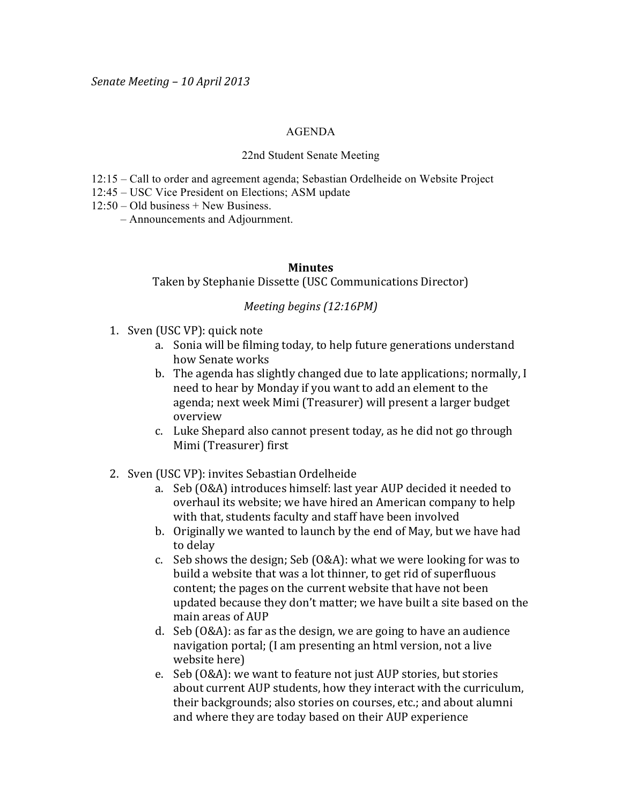## AGENDA

## 22nd Student Senate Meeting

- 12:15 Call to order and agreement agenda; Sebastian Ordelheide on Website Project
- 12:45 USC Vice President on Elections; ASM update
- 12:50 Old business + New Business.
	- Announcements and Adjournment.

## **Minutes**

Taken by Stephanie Dissette (USC Communications Director)

## *Meeting begins (12:16PM)*

- 1. Sven (USC VP): quick note
	- a. Sonia will be filming today, to help future generations understand how Senate works
	- b. The agenda has slightly changed due to late applications; normally, I need to hear by Monday if you want to add an element to the agenda; next week Mimi (Treasurer) will present a larger budget overview
	- c. Luke Shepard also cannot present today, as he did not go through Mimi (Treasurer) first
- 2. Sven (USC VP): invites Sebastian Ordelheide
	- a. Seb (O&A) introduces himself: last year AUP decided it needed to overhaul its website; we have hired an American company to help with that, students faculty and staff have been involved
	- b. Originally we wanted to launch by the end of May, but we have had to delay
	- c. Seb shows the design; Seb  $(0&A)$ : what we were looking for was to build a website that was a lot thinner, to get rid of superfluous content; the pages on the current website that have not been updated because they don't matter; we have built a site based on the main areas of AUP
	- d. Seb (O&A): as far as the design, we are going to have an audience navigation portal; (I am presenting an html version, not a live website here)
	- e. Seb (O&A): we want to feature not just AUP stories, but stories about current AUP students, how they interact with the curriculum, their backgrounds; also stories on courses, etc.; and about alumni and where they are today based on their AUP experience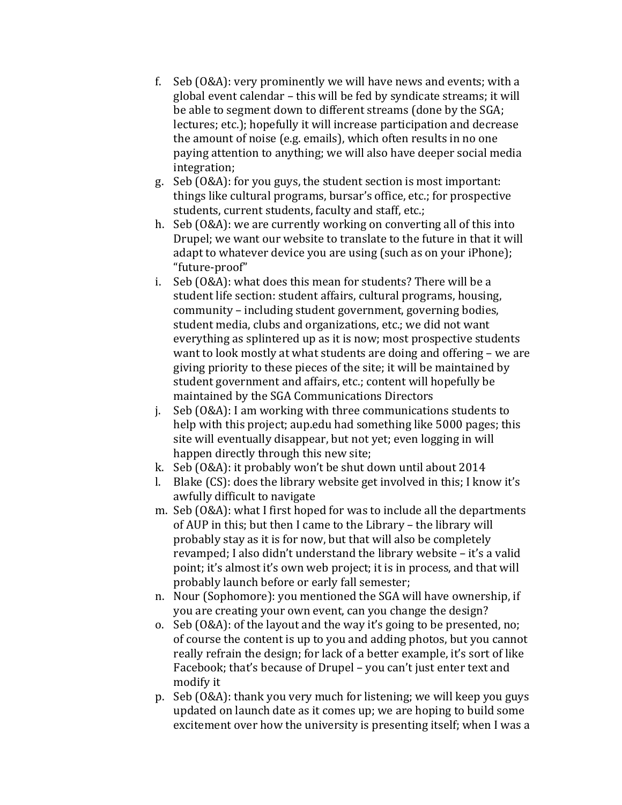- f. Seb (O&A): very prominently we will have news and events; with a global event calendar – this will be fed by syndicate streams; it will be able to segment down to different streams (done by the SGA; lectures; etc.); hopefully it will increase participation and decrease the amount of noise (e.g. emails), which often results in no one paying attention to anything; we will also have deeper social media integration;
- g. Seb (O&A): for you guys, the student section is most important: things like cultural programs, bursar's office, etc.; for prospective students, current students, faculty and staff, etc.;
- h. Seb (O&A): we are currently working on converting all of this into Drupel; we want our website to translate to the future in that it will adapt to whatever device you are using (such as on your iPhone); "future-proof"
- i. Seb (O&A): what does this mean for students? There will be a student life section: student affairs, cultural programs, housing, community – including student government, governing bodies, student media, clubs and organizations, etc.; we did not want everything as splintered up as it is now; most prospective students want to look mostly at what students are doing and offering – we are giving priority to these pieces of the site; it will be maintained by student government and affairs, etc.; content will hopefully be maintained by the SGA Communications Directors
- j. Seb (O&A): I am working with three communications students to  $\overline{a}$ help with this project; aup.edu had something like 5000 pages; this site will eventually disappear, but not yet; even logging in will happen directly through this new site;
- k. Seb (O&A): it probably won't be shut down until about  $2014$
- l. Blake  $(CS)$ : does the library website get involved in this; I know it's awfully difficult to navigate
- m. Seb (O&A): what I first hoped for was to include all the departments of AUP in this; but then I came to the Library – the library will probably stay as it is for now, but that will also be completely revamped; I also didn't understand the library website – it's a valid point; it's almost it's own web project; it is in process, and that will probably launch before or early fall semester;
- n. Nour (Sophomore): you mentioned the SGA will have ownership, if you are creating your own event, can you change the design?
- o. Seb (O&A): of the layout and the way it's going to be presented, no; of course the content is up to you and adding photos, but you cannot really refrain the design; for lack of a better example, it's sort of like Facebook; that's because of Drupel – you can't just enter text and modify it
- p. Seb (O&A): thank you very much for listening; we will keep you guys updated on launch date as it comes up; we are hoping to build some excitement over how the university is presenting itself; when I was a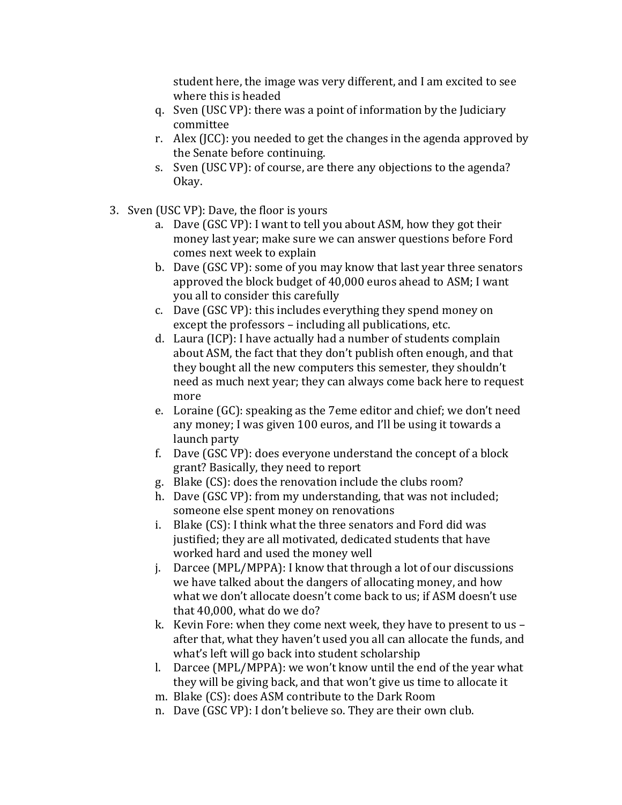student here, the image was very different, and I am excited to see where this is headed

- q. Sven (USC VP): there was a point of information by the Judiciary committee
- r. Alex (JCC): you needed to get the changes in the agenda approved by the Senate before continuing.
- s. Sven (USC VP): of course, are there any objections to the agenda? Okay.
- 3. Sven (USC VP): Dave, the floor is yours
	- a. Dave  $(GSC VP)$ : I want to tell you about ASM, how they got their money last year; make sure we can answer questions before Ford comes next week to explain
	- b. Dave (GSC VP): some of you may know that last year three senators approved the block budget of 40,000 euros ahead to ASM; I want you all to consider this carefully
	- c. Dave  $(GSC VP)$ : this includes everything they spend money on except the professors – including all publications, etc.
	- d. Laura (ICP): I have actually had a number of students complain about ASM, the fact that they don't publish often enough, and that they bought all the new computers this semester, they shouldn't need as much next year; they can always come back here to request more
	- e. Loraine (GC): speaking as the 7eme editor and chief; we don't need any money; I was given 100 euros, and I'll be using it towards a launch party
	- f. Dave  $(GSC VP)$ : does everyone understand the concept of a block grant? Basically, they need to report
	- g. Blake (CS): does the renovation include the clubs room?
	- h. Dave (GSC VP): from my understanding, that was not included; someone else spent money on renovations
	- i. Blake (CS): I think what the three senators and Ford did was justified; they are all motivated, dedicated students that have worked hard and used the money well
	- j. Darcee (MPL/MPPA): I know that through a lot of our discussions we have talked about the dangers of allocating money, and how what we don't allocate doesn't come back to us; if ASM doesn't use that  $40.000$ , what do we do?
	- k. Kevin Fore: when they come next week, they have to present to us after that, what they haven't used you all can allocate the funds, and what's left will go back into student scholarship
	- l. Darcee (MPL/MPPA): we won't know until the end of the year what they will be giving back, and that won't give us time to allocate it
	- m. Blake (CS): does ASM contribute to the Dark Room
	- n. Dave (GSC VP): I don't believe so. They are their own club.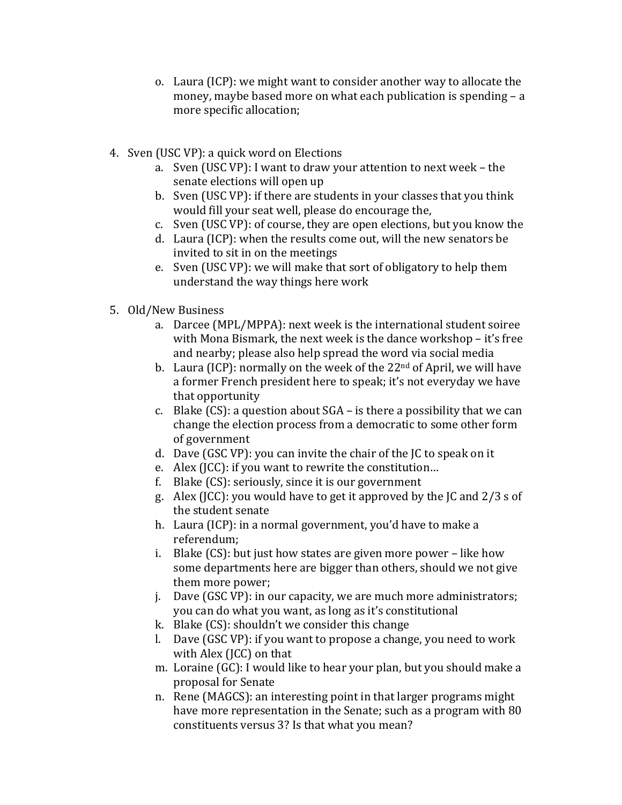- o. Laura (ICP): we might want to consider another way to allocate the money, maybe based more on what each publication is spending  $- a$ more specific allocation;
- 4. Sven (USC VP): a quick word on Elections
	- a. Sven (USC VP): I want to draw your attention to next week the senate elections will open up
	- b. Sven (USC VP): if there are students in your classes that you think would fill your seat well, please do encourage the,
	- c. Sven (USC VP): of course, they are open elections, but you know the
	- d. Laura (ICP): when the results come out, will the new senators be invited to sit in on the meetings
	- e. Sven (USC VP): we will make that sort of obligatory to help them understand the way things here work
- 5. Old/New Business
	- a. Darcee (MPL/MPPA): next week is the international student soiree with Mona Bismark, the next week is the dance workshop – it's free and nearby; please also help spread the word via social media
	- b. Laura (ICP): normally on the week of the  $22<sup>nd</sup>$  of April, we will have a former French president here to speak; it's not everyday we have that opportunity
	- c. Blake  $(CS)$ : a question about  $SGA$  is there a possibility that we can change the election process from a democratic to some other form of government
	- d. Dave (GSC VP): you can invite the chair of the  $IC$  to speak on it
	- e. Alex (JCC): if you want to rewrite the constitution...
	- f. Blake  $(CS)$ : seriously, since it is our government
	- g. Alex (JCC): you would have to get it approved by the JC and  $2/3$  s of the student senate
	- h. Laura (ICP): in a normal government, you'd have to make a referendum;
	- i. Blake  $(CS)$ : but just how states are given more power like how some departments here are bigger than others, should we not give them more power;
	- j. Dave  $(GSC VP)$ : in our capacity, we are much more administrators; you can do what you want, as long as it's constitutional
	- k. Blake  $(CS)$ : shouldn't we consider this change
	- l. Dave  $(GSC VP)$ : if you want to propose a change, you need to work with Alex (JCC) on that
	- m. Loraine (GC): I would like to hear your plan, but you should make a proposal for Senate
	- n. Rene (MAGCS): an interesting point in that larger programs might have more representation in the Senate; such as a program with 80 constituents versus 3? Is that what you mean?